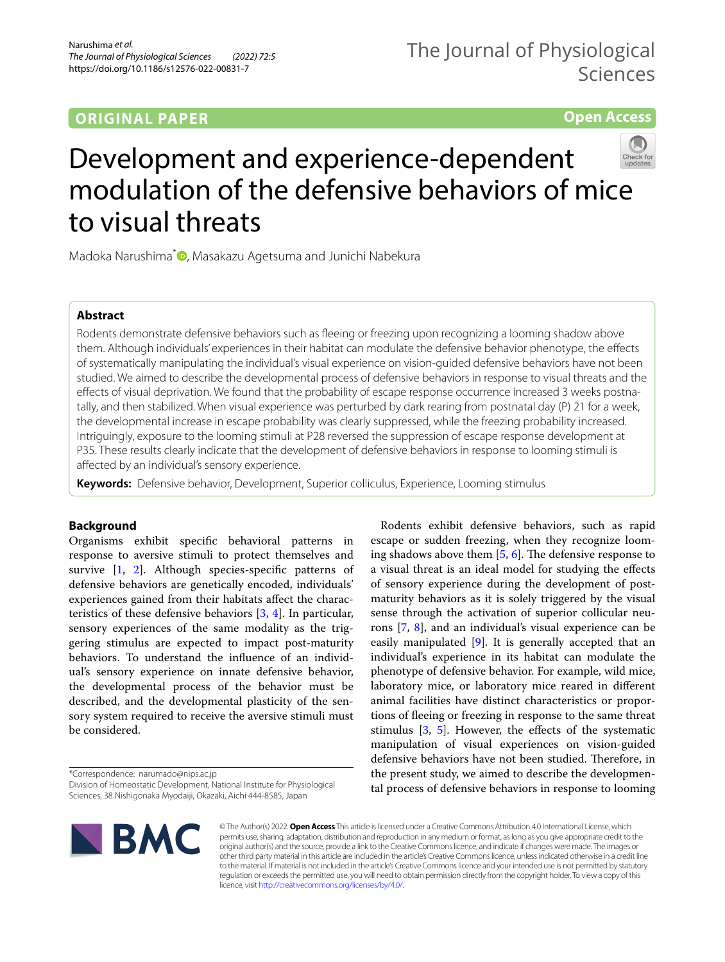## **ORIGINAL PAPER**

**Open Access**

# Development and experience-dependent modulation of the defensive behaviors of mice to visual threats

Madoka Narushima<sup>\*</sup><sup>0</sup>[,](http://orcid.org/0000-0003-3308-248X) Masakazu Agetsuma and Junichi Nabekura

## **Abstract**

Rodents demonstrate defensive behaviors such as feeing or freezing upon recognizing a looming shadow above them. Although individuals' experiences in their habitat can modulate the defensive behavior phenotype, the efects of systematically manipulating the individual's visual experience on vision-guided defensive behaviors have not been studied. We aimed to describe the developmental process of defensive behaviors in response to visual threats and the efects of visual deprivation. We found that the probability of escape response occurrence increased 3 weeks postnatally, and then stabilized. When visual experience was perturbed by dark rearing from postnatal day (P) 21 for a week, the developmental increase in escape probability was clearly suppressed, while the freezing probability increased. Intriguingly, exposure to the looming stimuli at P28 reversed the suppression of escape response development at P35. These results clearly indicate that the development of defensive behaviors in response to looming stimuli is afected by an individual's sensory experience.

**Keywords:** Defensive behavior, Development, Superior colliculus, Experience, Looming stimulus

## **Background**

Organisms exhibit specifc behavioral patterns in response to aversive stimuli to protect themselves and survive [[1,](#page-8-0) [2\]](#page-8-1). Although species-specific patterns of defensive behaviors are genetically encoded, individuals' experiences gained from their habitats afect the characteristics of these defensive behaviors [[3,](#page-8-2) [4\]](#page-8-3). In particular, sensory experiences of the same modality as the triggering stimulus are expected to impact post-maturity behaviors. To understand the infuence of an individual's sensory experience on innate defensive behavior, the developmental process of the behavior must be described, and the developmental plasticity of the sensory system required to receive the aversive stimuli must be considered.

\*Correspondence: narumado@nips.ac.jp

Division of Homeostatic Development, National Institute for Physiological Sciences, 38 Nishigonaka Myodaiji, Okazaki, Aichi 444-8585, Japan



Rodents exhibit defensive behaviors, such as rapid escape or sudden freezing, when they recognize looming shadows above them  $[5, 6]$  $[5, 6]$  $[5, 6]$  $[5, 6]$ . The defensive response to a visual threat is an ideal model for studying the efects of sensory experience during the development of postmaturity behaviors as it is solely triggered by the visual sense through the activation of superior collicular neurons [[7,](#page-8-6) [8](#page-8-7)], and an individual's visual experience can be easily manipulated [[9](#page-8-8)]. It is generally accepted that an individual's experience in its habitat can modulate the phenotype of defensive behavior. For example, wild mice, laboratory mice, or laboratory mice reared in diferent animal facilities have distinct characteristics or proportions of feeing or freezing in response to the same threat stimulus  $[3, 5]$  $[3, 5]$  $[3, 5]$ . However, the effects of the systematic manipulation of visual experiences on vision-guided defensive behaviors have not been studied. Therefore, in the present study, we aimed to describe the developmental process of defensive behaviors in response to looming

© The Author(s) 2022. **Open Access** This article is licensed under a Creative Commons Attribution 4.0 International License, which permits use, sharing, adaptation, distribution and reproduction in any medium or format, as long as you give appropriate credit to the original author(s) and the source, provide a link to the Creative Commons licence, and indicate if changes were made. The images or other third party material in this article are included in the article's Creative Commons licence, unless indicated otherwise in a credit line to the material. If material is not included in the article's Creative Commons licence and your intended use is not permitted by statutory regulation or exceeds the permitted use, you will need to obtain permission directly from the copyright holder. To view a copy of this licence, visit [http://creativecommons.org/licenses/by/4.0/.](http://creativecommons.org/licenses/by/4.0/)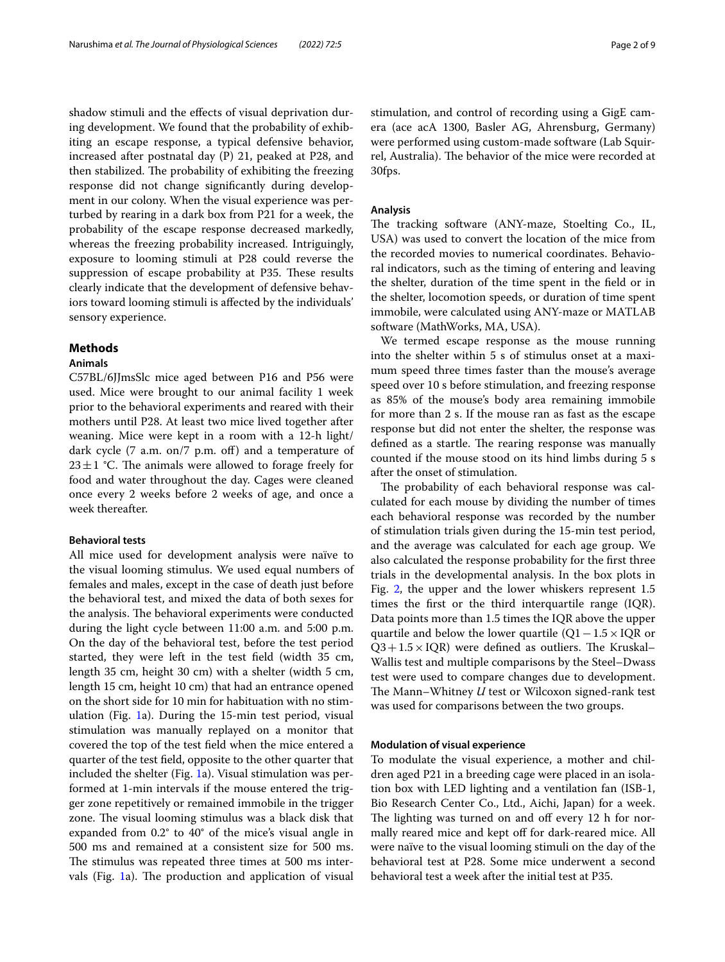shadow stimuli and the efects of visual deprivation during development. We found that the probability of exhibiting an escape response, a typical defensive behavior, increased after postnatal day (P) 21, peaked at P28, and then stabilized. The probability of exhibiting the freezing response did not change signifcantly during development in our colony. When the visual experience was perturbed by rearing in a dark box from P21 for a week, the probability of the escape response decreased markedly, whereas the freezing probability increased. Intriguingly, exposure to looming stimuli at P28 could reverse the suppression of escape probability at P35. These results clearly indicate that the development of defensive behaviors toward looming stimuli is afected by the individuals' sensory experience.

## **Methods**

## **Animals**

C57BL/6JJmsSlc mice aged between P16 and P56 were used. Mice were brought to our animal facility 1 week prior to the behavioral experiments and reared with their mothers until P28. At least two mice lived together after weaning. Mice were kept in a room with a 12-h light/ dark cycle (7 a.m. on/7 p.m. off) and a temperature of  $23 \pm 1$  °C. The animals were allowed to forage freely for food and water throughout the day. Cages were cleaned once every 2 weeks before 2 weeks of age, and once a week thereafter.

## **Behavioral tests**

All mice used for development analysis were naïve to the visual looming stimulus. We used equal numbers of females and males, except in the case of death just before the behavioral test, and mixed the data of both sexes for the analysis. The behavioral experiments were conducted during the light cycle between 11:00 a.m. and 5:00 p.m. On the day of the behavioral test, before the test period started, they were left in the test feld (width 35 cm, length 35 cm, height 30 cm) with a shelter (width 5 cm, length 15 cm, height 10 cm) that had an entrance opened on the short side for 10 min for habituation with no stimulation (Fig. [1a](#page-2-0)). During the 15-min test period, visual stimulation was manually replayed on a monitor that covered the top of the test feld when the mice entered a quarter of the test feld, opposite to the other quarter that included the shelter (Fig. [1](#page-2-0)a). Visual stimulation was performed at 1-min intervals if the mouse entered the trigger zone repetitively or remained immobile in the trigger zone. The visual looming stimulus was a black disk that expanded from 0.2° to 40° of the mice's visual angle in 500 ms and remained at a consistent size for 500 ms. The stimulus was repeated three times at 500 ms intervals (Fig.  $1a$  $1a$ ). The production and application of visual stimulation, and control of recording using a GigE camera (ace acA 1300, Basler AG, Ahrensburg, Germany) were performed using custom-made software (Lab Squirrel, Australia). The behavior of the mice were recorded at 30fps.

## **Analysis**

The tracking software (ANY-maze, Stoelting Co., IL, USA) was used to convert the location of the mice from the recorded movies to numerical coordinates. Behavioral indicators, such as the timing of entering and leaving the shelter, duration of the time spent in the feld or in the shelter, locomotion speeds, or duration of time spent immobile, were calculated using ANY-maze or MATLAB software (MathWorks, MA, USA).

We termed escape response as the mouse running into the shelter within 5 s of stimulus onset at a maximum speed three times faster than the mouse's average speed over 10 s before stimulation, and freezing response as 85% of the mouse's body area remaining immobile for more than 2 s. If the mouse ran as fast as the escape response but did not enter the shelter, the response was defined as a startle. The rearing response was manually counted if the mouse stood on its hind limbs during 5 s after the onset of stimulation.

The probability of each behavioral response was calculated for each mouse by dividing the number of times each behavioral response was recorded by the number of stimulation trials given during the 15-min test period, and the average was calculated for each age group. We also calculated the response probability for the frst three trials in the developmental analysis. In the box plots in Fig. [2,](#page-3-0) the upper and the lower whiskers represent 1.5 times the frst or the third interquartile range (IQR). Data points more than 1.5 times the IQR above the upper quartile and below the lower quartile  $(Q1-I.5\times IQR)$  or  $Q3+1.5\times IQR$ ) were defined as outliers. The Kruskal– Wallis test and multiple comparisons by the Steel–Dwass test were used to compare changes due to development. The Mann–Whitney *U* test or Wilcoxon signed-rank test was used for comparisons between the two groups.

### **Modulation of visual experience**

To modulate the visual experience, a mother and children aged P21 in a breeding cage were placed in an isolation box with LED lighting and a ventilation fan (ISB-1, Bio Research Center Co., Ltd., Aichi, Japan) for a week. The lighting was turned on and off every 12 h for normally reared mice and kept off for dark-reared mice. All were naïve to the visual looming stimuli on the day of the behavioral test at P28. Some mice underwent a second behavioral test a week after the initial test at P35.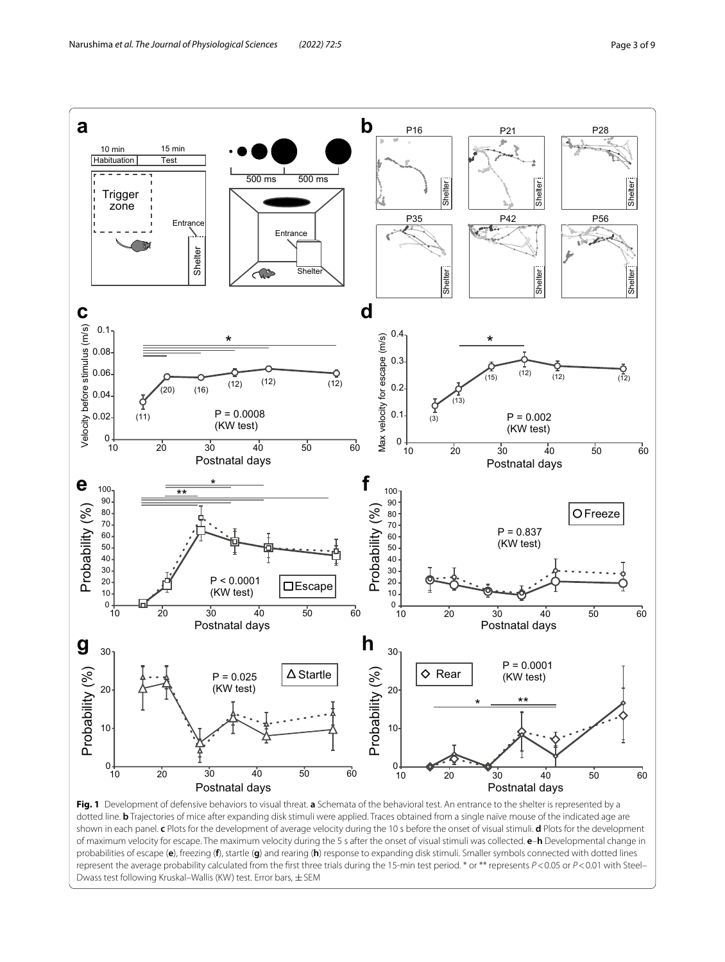

<span id="page-2-0"></span>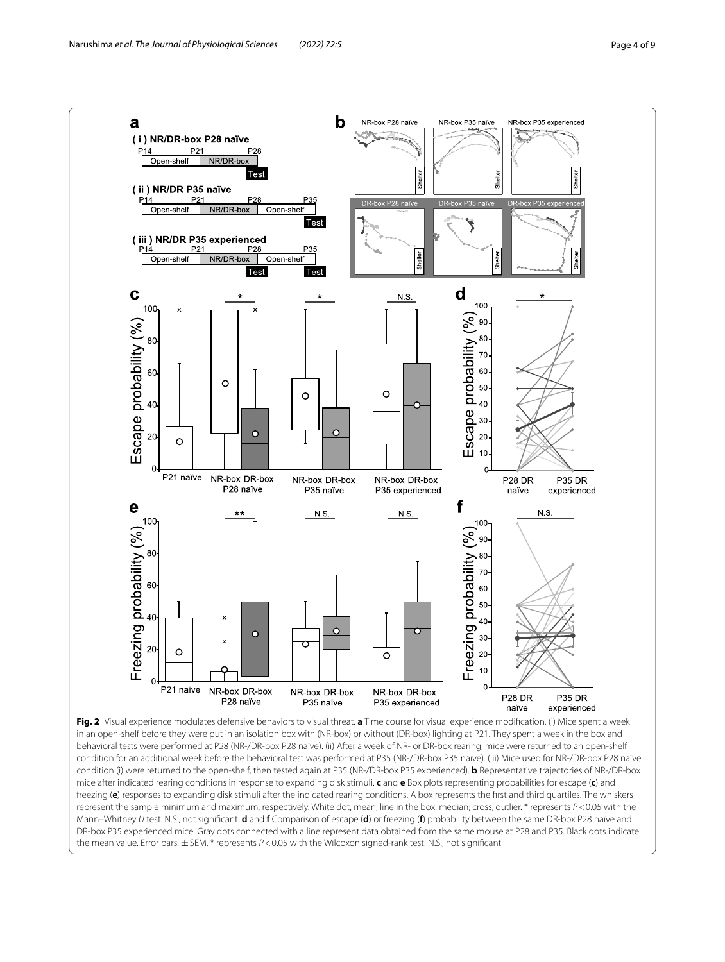

<span id="page-3-0"></span>in an open-shelf before they were put in an isolation box with (NR-box) or without (DR-box) lighting at P21. They spent a week in the box and behavioral tests were performed at P28 (NR-/DR-box P28 naïve). (ii) After a week of NR- or DR-box rearing, mice were returned to an open-shelf condition for an additional week before the behavioral test was performed at P35 (NR-/DR-box P35 naïve). (iii) Mice used for NR-/DR-box P28 naïve condition (i) were returned to the open-shelf, then tested again at P35 (NR-/DR-box P35 experienced). **b** Representative trajectories of NR-/DR-box mice after indicated rearing conditions in response to expanding disk stimuli. **c** and **e** Box plots representing probabilities for escape (**c**) and freezing (**e**) responses to expanding disk stimuli after the indicated rearing conditions. A box represents the frst and third quartiles. The whiskers represent the sample minimum and maximum, respectively. White dot, mean; line in the box, median; cross, outlier. \* represents *P*<0.05 with the Mann–Whitney *U* test. N.S., not signifcant. **d** and **f** Comparison of escape (**d**) or freezing (**f**) probability between the same DR-box P28 naïve and DR-box P35 experienced mice. Gray dots connected with a line represent data obtained from the same mouse at P28 and P35. Black dots indicate the mean value. Error bars, ± SEM. \* represents  $P < 0.05$  with the Wilcoxon signed-rank test. N.S., not significant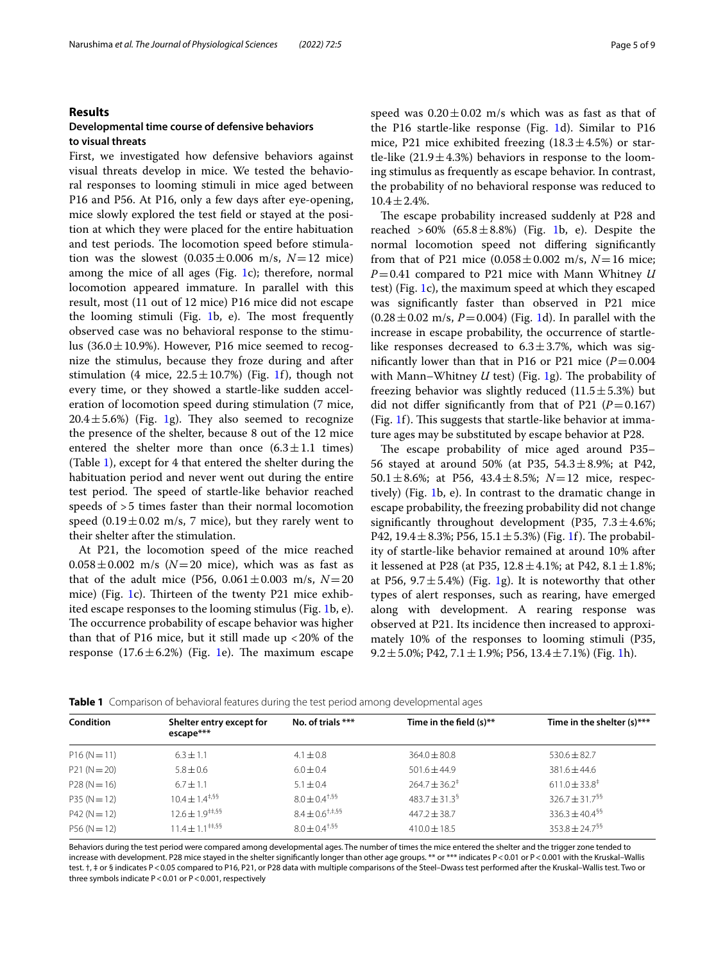## **Results**

## **Developmental time course of defensive behaviors to visual threats**

First, we investigated how defensive behaviors against visual threats develop in mice. We tested the behavioral responses to looming stimuli in mice aged between P16 and P56. At P16, only a few days after eye-opening, mice slowly explored the test feld or stayed at the position at which they were placed for the entire habituation and test periods. The locomotion speed before stimulation was the slowest  $(0.035 \pm 0.006 \text{ m/s}, N=12 \text{ mice})$ among the mice of all ages (Fig.  $1c$ ); therefore, normal locomotion appeared immature. In parallel with this result, most (11 out of 12 mice) P16 mice did not escape the looming stimuli (Fig.  $1b$  $1b$ , e). The most frequently observed case was no behavioral response to the stimulus  $(36.0 \pm 10.9\%)$ . However, P16 mice seemed to recognize the stimulus, because they froze during and after stimulation (4 mice,  $22.5 \pm 10.7$  $22.5 \pm 10.7$  $22.5 \pm 10.7$ %) (Fig. 1f), though not every time, or they showed a startle-like sudden acceleration of locomotion speed during stimulation (7 mice,  $20.4 \pm 5.6\%$ ) (Fig. [1](#page-2-0)g). They also seemed to recognize the presence of the shelter, because 8 out of the 12 mice entered the shelter more than once  $(6.3 \pm 1.1 \text{ times})$ (Table [1\)](#page-4-0), except for 4 that entered the shelter during the habituation period and never went out during the entire test period. The speed of startle-like behavior reached speeds of >5 times faster than their normal locomotion speed  $(0.19 \pm 0.02 \text{ m/s}, 7 \text{ mice})$ , but they rarely went to their shelter after the stimulation.

At P21, the locomotion speed of the mice reached  $0.058 \pm 0.002$  m/s ( $N=20$  mice), which was as fast as that of the adult mice (P56,  $0.061 \pm 0.003$  m/s,  $N = 20$ mice) (Fig. [1c](#page-2-0)). Thirteen of the twenty P21 mice exhibited escape responses to the looming stimulus (Fig. [1](#page-2-0)b, e). The occurrence probability of escape behavior was higher than that of P16 mice, but it still made up  $<$  20% of the response  $(17.6 \pm 6.2%)$  $(17.6 \pm 6.2%)$  $(17.6 \pm 6.2%)$  (Fig. 1e). The maximum escape speed was  $0.20 \pm 0.02$  m/s which was as fast as that of the P16 startle-like response (Fig. [1](#page-2-0)d). Similar to P16 mice, P21 mice exhibited freezing  $(18.3 \pm 4.5\%)$  or startle-like  $(21.9 \pm 4.3%)$  behaviors in response to the looming stimulus as frequently as escape behavior. In contrast, the probability of no behavioral response was reduced to  $10.4 \pm 2.4\%$ .

The escape probability increased suddenly at P28 and reached  $>60\%$  (65.8 $\pm$ 8.8%) (Fig. [1](#page-2-0)b, e). Despite the normal locomotion speed not difering signifcantly from that of P21 mice  $(0.058 \pm 0.002 \text{ m/s}, N=16 \text{ mice})$ *P*=0.41 compared to P21 mice with Mann Whitney *U* test) (Fig. [1c](#page-2-0)), the maximum speed at which they escaped was signifcantly faster than observed in P21 mice  $(0.28 \pm 0.02 \text{ m/s}, P=0.004)$  (Fig. [1d](#page-2-0)). In parallel with the increase in escape probability, the occurrence of startlelike responses decreased to  $6.3 \pm 3.7$ %, which was significantly lower than that in P16 or P21 mice  $(P=0.004$ with Mann–Whitney  $U$  test) (Fig. [1g](#page-2-0)). The probability of freezing behavior was slightly reduced  $(11.5 \pm 5.3%)$  but did not differ significantly from that of P21  $(P=0.167)$ (Fig.  $1f$ ). This suggests that startle-like behavior at immature ages may be substituted by escape behavior at P28.

The escape probability of mice aged around P35-56 stayed at around 50% (at P35,  $54.3 \pm 8.9$ %; at P42, 50.1±8.6%; at P56, 43.4±8.5%; *N*=12 mice, respectively) (Fig. [1](#page-2-0)b, e). In contrast to the dramatic change in escape probability, the freezing probability did not change significantly throughout development (P35,  $7.3 \pm 4.6\%$ ; P42, 19.4  $\pm$  8.3%; P56, 15.1  $\pm$  5.3%) (Fig. [1f](#page-2-0)). The probability of startle-like behavior remained at around 10% after it lessened at P28 (at P35,  $12.8 \pm 4.1\%$ ; at P42,  $8.1 \pm 1.8\%$ ; at P56,  $9.7 \pm 5.4\%$ ) (Fig. [1g](#page-2-0)). It is noteworthy that other types of alert responses, such as rearing, have emerged along with development. A rearing response was observed at P21. Its incidence then increased to approximately 10% of the responses to looming stimuli (P35, 9.2 $\pm$ 5.0%; P42, 7.1 $\pm$ 1.9%; P56, 13.4 $\pm$ 7.1%) (Fig. [1h](#page-2-0)).

<span id="page-4-0"></span>

| Table 1 Comparison of behavioral features during the test period among developmental ages |  |
|-------------------------------------------------------------------------------------------|--|
|-------------------------------------------------------------------------------------------|--|

| <b>Condition</b> | Shelter entry except for<br>escape*** | No. of trials ***      | Time in the field $(s)$ **  | Time in the shelter $(s)$ ***  |
|------------------|---------------------------------------|------------------------|-----------------------------|--------------------------------|
| $P16(N=11)$      | $6.3 \pm 1.1$                         | $4.1 \pm 0.8$          | $364.0 \pm 80.8$            | $530.6 \pm 82.7$               |
| $P21(N=20)$      | $5.8 \pm 0.6$                         | $6.0 \pm 0.4$          | $501.6 \pm 44.9$            | $381.6 \pm 44.6$               |
| $P28(N=16)$      | $6.7 \pm 1.1$                         | $5.1 \pm 0.4$          | $264.7 \pm 36.2^{\ddagger}$ | $611.0 \pm 33.8^{\ddagger}$    |
| $P35(N=12)$      | $10.4 \pm 1.4^{\text{+},\text{S}}$    | $8.0 \pm 0.4^{+,55}$   | $483.7 \pm 31.3^5$          | $326.7 + 31.7$ <sup>§§</sup>   |
| $P42(N=12)$      | $12.6 \pm 1.9^{+4.55}$                | $8.4 \pm 0.6^{+,4,55}$ | $447.2 \pm 38.7$            | $336.3 \pm 40.4$ <sup>§§</sup> |
| $P56(N=12)$      | $11.4 \pm 1.1^{\text{up},55}$         | $8.0 \pm 0.4^{+,55}$   | $410.0 \pm 18.5$            | $353.8 + 24.7$ <sup>§§</sup>   |

Behaviors during the test period were compared among developmental ages. The number of times the mice entered the shelter and the trigger zone tended to increase with development. P28 mice stayed in the shelter significantly longer than other age groups. \*\* or \*\*\* indicates P < 0.01 or P < 0.001 with the Kruskal-Wallis test.  $\dagger$ ,  $\dagger$  or § indicates P<0.05 compared to P16, P21, or P28 data with multiple comparisons of the Steel-Dwass test performed after the Kruskal-Wallis test. Two or three symbols indicate  $P < 0.01$  or  $P < 0.001$ , respectively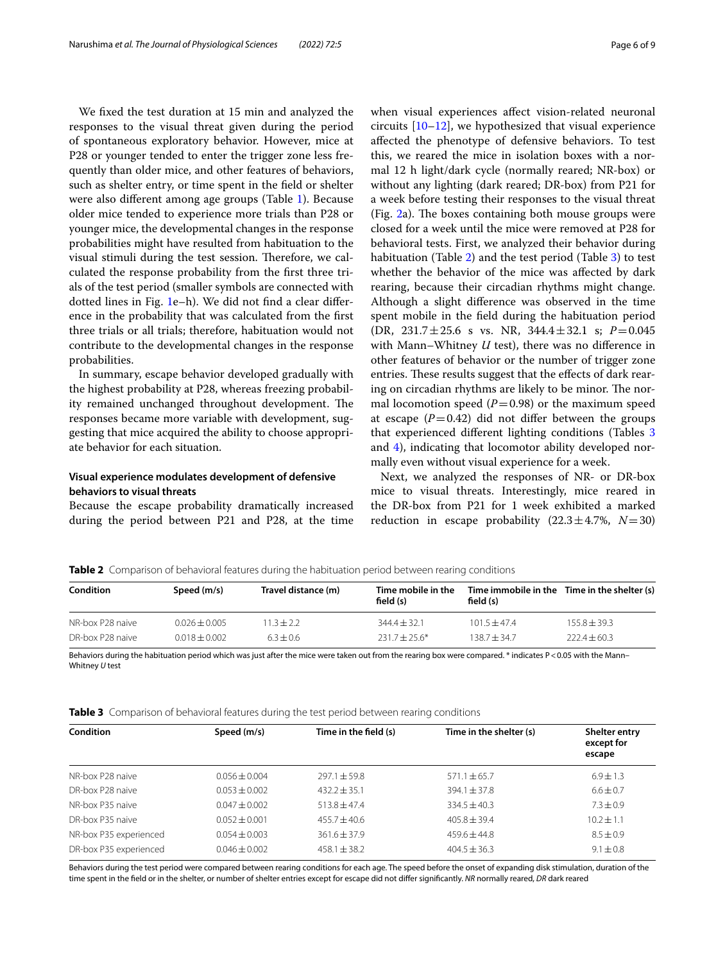We fxed the test duration at 15 min and analyzed the responses to the visual threat given during the period of spontaneous exploratory behavior. However, mice at P28 or younger tended to enter the trigger zone less frequently than older mice, and other features of behaviors, such as shelter entry, or time spent in the feld or shelter were also diferent among age groups (Table [1\)](#page-4-0). Because older mice tended to experience more trials than P28 or younger mice, the developmental changes in the response probabilities might have resulted from habituation to the visual stimuli during the test session. Therefore, we calculated the response probability from the frst three trials of the test period (smaller symbols are connected with dotted lines in Fig. [1](#page-2-0)e–h). We did not fnd a clear diference in the probability that was calculated from the frst three trials or all trials; therefore, habituation would not contribute to the developmental changes in the response probabilities.

In summary, escape behavior developed gradually with the highest probability at P28, whereas freezing probability remained unchanged throughout development. The responses became more variable with development, suggesting that mice acquired the ability to choose appropriate behavior for each situation.

## **Visual experience modulates development of defensive behaviors to visual threats**

Because the escape probability dramatically increased during the period between P21 and P28, at the time when visual experiences afect vision-related neuronal circuits [[10](#page-8-9)[–12](#page-8-10)], we hypothesized that visual experience afected the phenotype of defensive behaviors. To test this, we reared the mice in isolation boxes with a normal 12 h light/dark cycle (normally reared; NR-box) or without any lighting (dark reared; DR-box) from P21 for a week before testing their responses to the visual threat (Fig.  $2a$ ). The boxes containing both mouse groups were closed for a week until the mice were removed at P28 for behavioral tests. First, we analyzed their behavior during habituation (Table [2\)](#page-5-0) and the test period (Table [3\)](#page-5-1) to test whether the behavior of the mice was afected by dark rearing, because their circadian rhythms might change. Although a slight diference was observed in the time spent mobile in the feld during the habituation period (DR, 231.7±25.6 s vs. NR, 344.4±32.1 s; *P*=0.045 with Mann–Whitney *U* test), there was no diference in other features of behavior or the number of trigger zone entries. These results suggest that the effects of dark rearing on circadian rhythms are likely to be minor. The normal locomotion speed  $(P=0.98)$  or the maximum speed at escape  $(P=0.42)$  did not differ between the groups that experienced diferent lighting conditions (Tables [3](#page-5-1) and [4](#page-6-0)), indicating that locomotor ability developed normally even without visual experience for a week.

Next, we analyzed the responses of NR- or DR-box mice to visual threats. Interestingly, mice reared in the DR-box from P21 for 1 week exhibited a marked reduction in escape probability  $(22.3 \pm 4.7\%)$ ,  $N=30$ 

<span id="page-5-0"></span>**Table 2** Comparison of behavioral features during the habituation period between rearing conditions

| Condition        | Speed (m/s)       | Travel distance (m) | Time mobile in the<br>field (s) | field $(s)$    | Time immobile in the Time in the shelter (s) |
|------------------|-------------------|---------------------|---------------------------------|----------------|----------------------------------------------|
| NR-box P28 naive | $0.026 \pm 0.005$ | $13 + 22$           | $344.4 \pm 32.1$                | $101.5 + 47.4$ | $155.8 + 39.3$                               |
| DR-box P28 naive | $0.018 + 0.002$   | $6.3 + 0.6$         | $231.7 + 25.6*$                 | $138.7 + 34.7$ | $222.4 \pm 60.3$                             |

Behaviors during the habituation period which was just after the mice were taken out from the rearing box were compared. \* indicates P<0.05 with the Mann– Whitney *U* test

<span id="page-5-1"></span>

|  |  | Table 3 Comparison of behavioral features during the test period between rearing conditions |  |  |  |  |  |  |
|--|--|---------------------------------------------------------------------------------------------|--|--|--|--|--|--|
|--|--|---------------------------------------------------------------------------------------------|--|--|--|--|--|--|

| Condition              | Speed (m/s)       | Time in the field (s) | Time in the shelter (s) | Shelter entry<br>except for<br>escape |
|------------------------|-------------------|-----------------------|-------------------------|---------------------------------------|
| NR-box P28 naive       | $0.056 + 0.004$   | $297.1 + 59.8$        | $571.1 \pm 65.7$        | $6.9 + 1.3$                           |
| DR-box P28 naive       | $0.053 + 0.002$   | $432.2 + 35.1$        | $394.1 \pm 37.8$        | $6.6 \pm 0.7$                         |
| NR-box P35 naive       | $0.047 + 0.002$   | $513.8 + 47.4$        | $334.5 \pm 40.3$        | $7.3 + 0.9$                           |
| DR-box P35 naive       | $0.052 + 0.001$   | $455.7 + 40.6$        | $405.8 + 39.4$          | $10.2 + 1.1$                          |
| NR-box P35 experienced | $0.054 \pm 0.003$ | $361.6 + 37.9$        | $459.6 + 44.8$          | $8.5 \pm 0.9$                         |
| DR-box P35 experienced | $0.046 \pm 0.002$ | $458.1 + 38.2$        | $404.5 + 36.3$          | $9.1 \pm 0.8$                         |

Behaviors during the test period were compared between rearing conditions for each age. The speed before the onset of expanding disk stimulation, duration of the time spent in the feld or in the shelter, or number of shelter entries except for escape did not difer signifcantly. *NR* normally reared, *DR* dark reared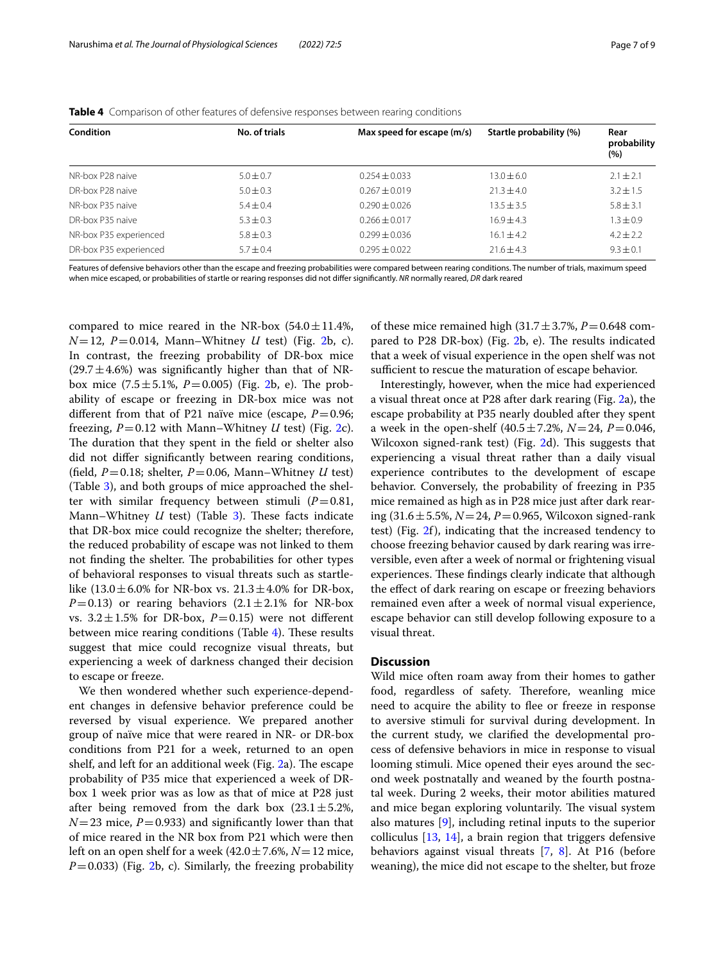### <span id="page-6-0"></span>**Table 4** Comparison of other features of defensive responses between rearing conditions

| <b>Condition</b>       | No. of trials | Max speed for escape (m/s) | Startle probability (%) | Rear<br>probability<br>(%) |
|------------------------|---------------|----------------------------|-------------------------|----------------------------|
| NR-box P28 naive       | $5.0 \pm 0.7$ | $0.254 \pm 0.033$          | $13.0 \pm 6.0$          | $2.1 \pm 2.1$              |
| DR-box P28 naive       | $5.0 \pm 0.3$ | $0.267 \pm 0.019$          | $21.3 \pm 4.0$          | $3.2 + 1.5$                |
| NR-box P35 naive       | $5.4 + 0.4$   | $0.290 \pm 0.026$          | $13.5 \pm 3.5$          | $5.8 \pm 3.1$              |
| DR-box P35 naive       | $5.3 + 0.3$   | $0.266 \pm 0.017$          | $16.9 + 4.3$            | $1.3 + 0.9$                |
| NR-box P35 experienced | $5.8 \pm 0.3$ | $0.299 + 0.036$            | $16.1 \pm 4.2$          | $4.2 + 2.2$                |
| DR-box P35 experienced | $5.7 \pm 0.4$ | $0.295 + 0.022$            | $71.6 + 4.3$            | $9.3 + 0.1$                |

Features of defensive behaviors other than the escape and freezing probabilities were compared between rearing conditions. The number of trials, maximum speed when mice escaped, or probabilities of startle or rearing responses did not difer signifcantly. *NR* normally reared, *DR* dark reared

compared to mice reared in the NR-box  $(54.0 \pm 11.4\%)$  $N=12$ ,  $P=0.014$ , Mann–Whitney *U* test) (Fig. [2b](#page-3-0), c). In contrast, the freezing probability of DR-box mice  $(29.7 \pm 4.6%)$  was significantly higher than that of NRbox mice  $(7.5 \pm 5.1\%, P=0.005)$  (Fig. [2](#page-3-0)b, e). The probability of escape or freezing in DR-box mice was not different from that of P21 naïve mice (escape,  $P=0.96$ ; freezing,  $P=0.12$  with Mann–Whitney *U* test) (Fig. [2c](#page-3-0)). The duration that they spent in the field or shelter also did not difer signifcantly between rearing conditions, (field,  $P=0.18$ ; shelter,  $P=0.06$ , Mann–Whitney *U* test) (Table [3](#page-5-1)), and both groups of mice approached the shelter with similar frequency between stimuli  $(P=0.81,$ Mann–Whitney *U* test) (Table [3](#page-5-1)). These facts indicate that DR-box mice could recognize the shelter; therefore, the reduced probability of escape was not linked to them not finding the shelter. The probabilities for other types of behavioral responses to visual threats such as startlelike  $(13.0 \pm 6.0\%$  for NR-box vs.  $21.3 \pm 4.0\%$  for DR-box,  $P=0.13$ ) or rearing behaviors  $(2.1 \pm 2.1\%$  for NR-box vs.  $3.2 \pm 1.5$ % for DR-box,  $P=0.15$ ) were not different between mice rearing conditions (Table  $4$ ). These results suggest that mice could recognize visual threats, but experiencing a week of darkness changed their decision to escape or freeze.

We then wondered whether such experience-dependent changes in defensive behavior preference could be reversed by visual experience. We prepared another group of naïve mice that were reared in NR- or DR-box conditions from P21 for a week, returned to an open shelf, and left for an additional week (Fig.  $2a$ ). The escape probability of P35 mice that experienced a week of DRbox 1 week prior was as low as that of mice at P28 just after being removed from the dark box  $(23.1 \pm 5.2\%)$  $N=23$  mice,  $P=0.933$ ) and significantly lower than that of mice reared in the NR box from P21 which were then left on an open shelf for a week  $(42.0 \pm 7.6\%, N=12 \text{ mice},$  $P=0.033$ ) (Fig. [2](#page-3-0)b, c). Similarly, the freezing probability

of these mice remained high  $(31.7 \pm 3.7\%)$ ,  $P = 0.648$  compared to  $P28$  $P28$  $P28$  DR-box) (Fig. 2b, e). The results indicated that a week of visual experience in the open shelf was not sufficient to rescue the maturation of escape behavior.

Interestingly, however, when the mice had experienced a visual threat once at P28 after dark rearing (Fig. [2](#page-3-0)a), the escape probability at P35 nearly doubled after they spent a week in the open-shelf  $(40.5 \pm 7.2\%)$ ,  $N = 24$ ,  $P = 0.046$ , Wilcoxon signed-rank test) (Fig. [2d](#page-3-0)). This suggests that experiencing a visual threat rather than a daily visual experience contributes to the development of escape behavior. Conversely, the probability of freezing in P35 mice remained as high as in P28 mice just after dark rearing (31.6±5.5%, *N*=24, *P*=0.965, Wilcoxon signed-rank test) (Fig. [2f](#page-3-0)), indicating that the increased tendency to choose freezing behavior caused by dark rearing was irreversible, even after a week of normal or frightening visual experiences. These findings clearly indicate that although the efect of dark rearing on escape or freezing behaviors remained even after a week of normal visual experience, escape behavior can still develop following exposure to a visual threat.

## **Discussion**

Wild mice often roam away from their homes to gather food, regardless of safety. Therefore, weanling mice need to acquire the ability to flee or freeze in response to aversive stimuli for survival during development. In the current study, we clarifed the developmental process of defensive behaviors in mice in response to visual looming stimuli. Mice opened their eyes around the second week postnatally and weaned by the fourth postnatal week. During 2 weeks, their motor abilities matured and mice began exploring voluntarily. The visual system also matures [\[9](#page-8-8)], including retinal inputs to the superior colliculus [\[13,](#page-8-11) [14](#page-8-12)], a brain region that triggers defensive behaviors against visual threats [\[7](#page-8-6), [8](#page-8-7)]. At P16 (before weaning), the mice did not escape to the shelter, but froze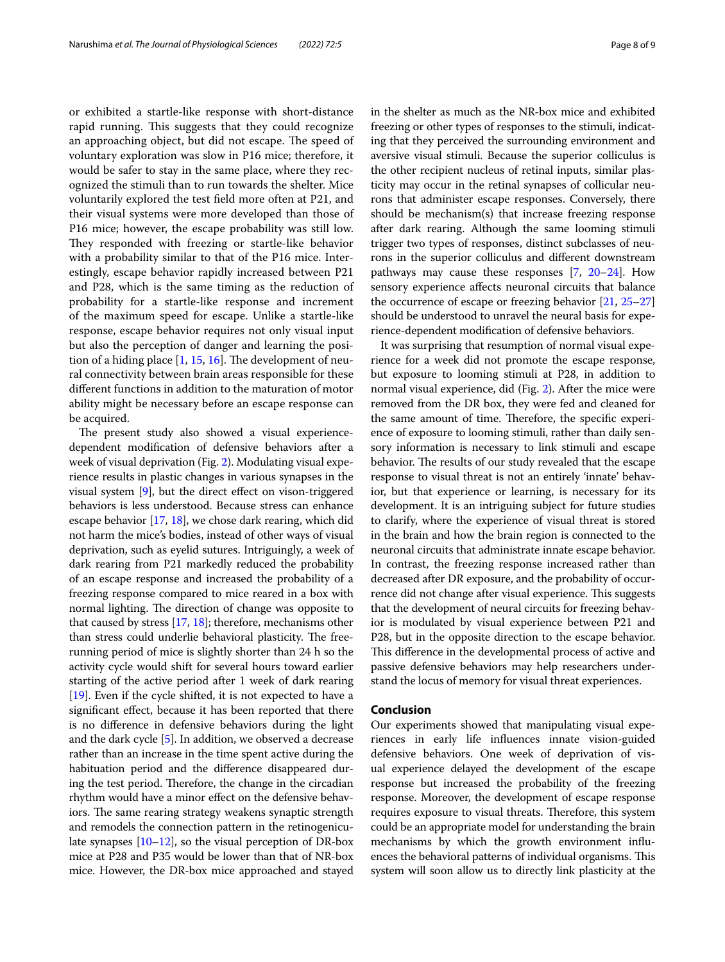or exhibited a startle-like response with short-distance rapid running. This suggests that they could recognize an approaching object, but did not escape. The speed of voluntary exploration was slow in P16 mice; therefore, it would be safer to stay in the same place, where they recognized the stimuli than to run towards the shelter. Mice voluntarily explored the test feld more often at P21, and their visual systems were more developed than those of P16 mice; however, the escape probability was still low. They responded with freezing or startle-like behavior with a probability similar to that of the P16 mice. Interestingly, escape behavior rapidly increased between P21 and P28, which is the same timing as the reduction of probability for a startle-like response and increment of the maximum speed for escape. Unlike a startle-like response, escape behavior requires not only visual input but also the perception of danger and learning the position of a hiding place  $[1, 15, 16]$  $[1, 15, 16]$  $[1, 15, 16]$  $[1, 15, 16]$  $[1, 15, 16]$ . The development of neural connectivity between brain areas responsible for these diferent functions in addition to the maturation of motor ability might be necessary before an escape response can be acquired.

The present study also showed a visual experiencedependent modifcation of defensive behaviors after a week of visual deprivation (Fig. [2\)](#page-3-0). Modulating visual experience results in plastic changes in various synapses in the visual system  $[9]$ , but the direct effect on vison-triggered behaviors is less understood. Because stress can enhance escape behavior [\[17,](#page-8-15) [18](#page-8-16)], we chose dark rearing, which did not harm the mice's bodies, instead of other ways of visual deprivation, such as eyelid sutures. Intriguingly, a week of dark rearing from P21 markedly reduced the probability of an escape response and increased the probability of a freezing response compared to mice reared in a box with normal lighting. The direction of change was opposite to that caused by stress [\[17,](#page-8-15) [18](#page-8-16)]; therefore, mechanisms other than stress could underlie behavioral plasticity. The freerunning period of mice is slightly shorter than 24 h so the activity cycle would shift for several hours toward earlier starting of the active period after 1 week of dark rearing [[19](#page-8-17)]. Even if the cycle shifted, it is not expected to have a signifcant efect, because it has been reported that there is no diference in defensive behaviors during the light and the dark cycle [\[5](#page-8-4)]. In addition, we observed a decrease rather than an increase in the time spent active during the habituation period and the diference disappeared during the test period. Therefore, the change in the circadian rhythm would have a minor effect on the defensive behaviors. The same rearing strategy weakens synaptic strength and remodels the connection pattern in the retinogeniculate synapses [\[10–](#page-8-9)[12](#page-8-10)], so the visual perception of DR-box mice at P28 and P35 would be lower than that of NR-box mice. However, the DR-box mice approached and stayed in the shelter as much as the NR-box mice and exhibited freezing or other types of responses to the stimuli, indicating that they perceived the surrounding environment and aversive visual stimuli. Because the superior colliculus is the other recipient nucleus of retinal inputs, similar plasticity may occur in the retinal synapses of collicular neurons that administer escape responses. Conversely, there should be mechanism(s) that increase freezing response after dark rearing. Although the same looming stimuli trigger two types of responses, distinct subclasses of neurons in the superior colliculus and diferent downstream pathways may cause these responses [\[7,](#page-8-6) [20](#page-8-18)[–24\]](#page-8-19). How sensory experience afects neuronal circuits that balance the occurrence of escape or freezing behavior [[21](#page-8-20), [25–](#page-8-21)[27](#page-8-22)] should be understood to unravel the neural basis for experience-dependent modifcation of defensive behaviors.

It was surprising that resumption of normal visual experience for a week did not promote the escape response, but exposure to looming stimuli at P28, in addition to normal visual experience, did (Fig. [2\)](#page-3-0). After the mice were removed from the DR box, they were fed and cleaned for the same amount of time. Therefore, the specific experience of exposure to looming stimuli, rather than daily sensory information is necessary to link stimuli and escape behavior. The results of our study revealed that the escape response to visual threat is not an entirely 'innate' behavior, but that experience or learning, is necessary for its development. It is an intriguing subject for future studies to clarify, where the experience of visual threat is stored in the brain and how the brain region is connected to the neuronal circuits that administrate innate escape behavior. In contrast, the freezing response increased rather than decreased after DR exposure, and the probability of occurrence did not change after visual experience. This suggests that the development of neural circuits for freezing behavior is modulated by visual experience between P21 and P28, but in the opposite direction to the escape behavior. This difference in the developmental process of active and passive defensive behaviors may help researchers understand the locus of memory for visual threat experiences.

## **Conclusion**

Our experiments showed that manipulating visual experiences in early life infuences innate vision-guided defensive behaviors. One week of deprivation of visual experience delayed the development of the escape response but increased the probability of the freezing response. Moreover, the development of escape response requires exposure to visual threats. Therefore, this system could be an appropriate model for understanding the brain mechanisms by which the growth environment infuences the behavioral patterns of individual organisms. This system will soon allow us to directly link plasticity at the